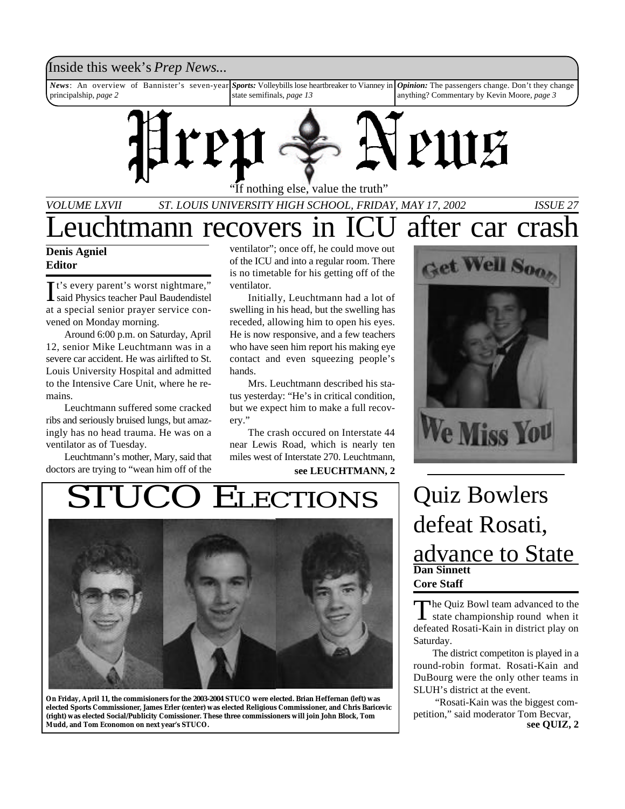### Inside this week's *Prep News*...

*News*: An overview of Bannister's seven-year principalship, *page 2 Sports:* Volleybills lose heartbreaker to Vianney in state semifinals, *page 13 Opinion:* The passengers change. Don't they change anything? Commentary by Kevin Moore, *page 3*



If nothing else, value the truth"

*VOLUME LXVII ST. LOUIS UNIVERSITY HIGH SCHOOL, FRIDAY, MAY 17, 2002 ISSUE 27*

# Leuchtmann recovers in ICU after car crash

#### **Denis Agniel Editor**

It's every parent's worst nightmare,"<br>Said Physics teacher Paul Baudendistel said Physics teacher Paul Baudendistel at a special senior prayer service convened on Monday morning.

Around 6:00 p.m. on Saturday, April 12, senior Mike Leuchtmann was in a severe car accident. He was airlifted to St. Louis University Hospital and admitted to the Intensive Care Unit, where he remains.

Leuchtmann suffered some cracked ribs and seriously bruised lungs, but amazingly has no head trauma. He was on a ventilator as of Tuesday.

Leuchtmann's mother, Mary, said that doctors are trying to "wean him off of the

ventilator"; once off, he could move out of the ICU and into a regular room. There is no timetable for his getting off of the ventilator.

Initially, Leuchtmann had a lot of swelling in his head, but the swelling has receded, allowing him to open his eyes. He is now responsive, and a few teachers who have seen him report his making eye contact and even squeezing people's hands.

Mrs. Leuchtmann described his status yesterday: "He's in critical condition, but we expect him to make a full recovery."

The crash occured on Interstate 44 near Lewis Road, which is nearly ten miles west of Interstate 270. Leuchtmann,

**see LEUCHTMANN, 2**

# STUCO ELECTIONS Quiz Bowlers



**On Friday, April 11, the commisioners for the 2003-2004 STUCO were elected. Brian Heffernan (left) was elected Sports Commissioner, James Erler (center) was elected Religious Commissioner, and Chris Baricevic (right) was elected Social/Publicity Comissioner. These three commissioners will join John Block, Tom Mudd, and Tom Economon on next year's STUCO.**



# **Dan Sinnett Core Staff** defeat Rosati, advance to State

The Quiz Bowl team advanced to the<br>state championship round when it The Quiz Bowl team advanced to the defeated Rosati-Kain in district play on Saturday.

The district competiton is played in a round-robin format. Rosati-Kain and DuBourg were the only other teams in SLUH's district at the event.

 "Rosati-Kain was the biggest competition," said moderator Tom Becvar, **see QUIZ, 2**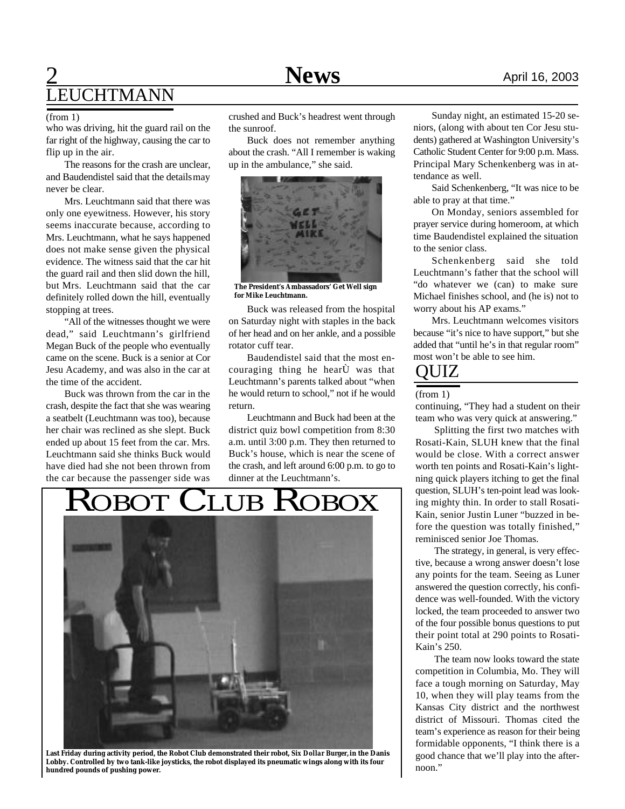# **2** April 16, 2003 LEUCHTMANN

who was driving, hit the guard rail on the far right of the highway, causing the car to flip up in the air.

The reasons for the crash are unclear, and Baudendistel said that the details may never be clear.

Mrs. Leuchtmann said that there was only one eyewitness. However, his story seems inaccurate because, according to Mrs. Leuchtmann, what he says happened does not make sense given the physical evidence. The witness said that the car hit the guard rail and then slid down the hill, but Mrs. Leuchtmann said that the car definitely rolled down the hill, eventually stopping at trees.

"All of the witnesses thought we were dead," said Leuchtmann's girlfriend Megan Buck of the people who eventually came on the scene. Buck is a senior at Cor Jesu Academy, and was also in the car at the time of the accident.

Buck was thrown from the car in the crash, despite the fact that she was wearing a seatbelt (Leuchtmann was too), because her chair was reclined as she slept. Buck ended up about 15 feet from the car. Mrs. Leuchtmann said she thinks Buck would have died had she not been thrown from the car because the passenger side was

(from 1) crushed and Buck's headrest went through the sunroof.

> Buck does not remember anything about the crash. "All I remember is waking up in the ambulance," she said.



**The President's Ambassadors' Get Well sign for Mike Leuchtmann.**

Buck was released from the hospital on Saturday night with staples in the back of her head and on her ankle, and a possible rotator cuff tear.

Baudendistel said that the most encouraging thing he hearÙ was that Leuchtmann's parents talked about "when he would return to school," not if he would return.

Leuchtmann and Buck had been at the district quiz bowl competition from 8:30 a.m. until 3:00 p.m. They then returned to Buck's house, which is near the scene of the crash, and left around 6:00 p.m. to go to

# ROBOT CLUB ROBOX dinner at the Leuchtmann's.



**Last Friday during activity period, the Robot Club demonstrated their robot,** *Six Dollar Burger,* **in the Danis Lobby. Controlled by two tank-like joysticks, the robot displayed its pneumatic wings along with its four hundred pounds of pushing power.**

Sunday night, an estimated 15-20 seniors, (along with about ten Cor Jesu students) gathered at Washington University's Catholic Student Center for 9:00 p.m. Mass. Principal Mary Schenkenberg was in attendance as well.

Said Schenkenberg, "It was nice to be able to pray at that time."

On Monday, seniors assembled for prayer service during homeroom, at which time Baudendistel explained the situation to the senior class.

Schenkenberg said she told Leuchtmann's father that the school will "do whatever we (can) to make sure Michael finishes school, and (he is) not to worry about his AP exams."

Mrs. Leuchtmann welcomes visitors because "it's nice to have support," but she added that "until he's in that regular room" most won't be able to see him.

### QUIZ

#### (from 1)

continuing, "They had a student on their team who was very quick at answering."

Splitting the first two matches with Rosati-Kain, SLUH knew that the final would be close. With a correct answer worth ten points and Rosati-Kain's lightning quick players itching to get the final question, SLUH's ten-point lead was looking mighty thin. In order to stall Rosati-Kain, senior Justin Luner "buzzed in before the question was totally finished," reminisced senior Joe Thomas.

The strategy, in general, is very effective, because a wrong answer doesn't lose any points for the team. Seeing as Luner answered the question correctly, his confidence was well-founded. With the victory locked, the team proceeded to answer two of the four possible bonus questions to put their point total at 290 points to Rosati-Kain's 250.

The team now looks toward the state competition in Columbia, Mo. They will face a tough morning on Saturday, May 10, when they will play teams from the Kansas City district and the northwest district of Missouri. Thomas cited the team's experience as reason for their being formidable opponents, "I think there is a good chance that we'll play into the afternoon."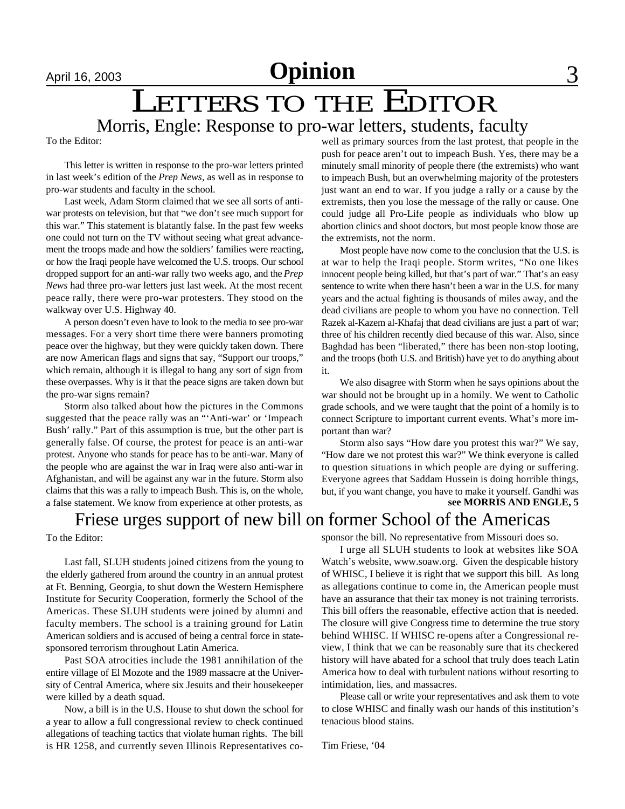# LETTERS TO THE EDITOR Morris, Engle: Response to pro-war letters, students, faculty

To the Editor:

This letter is written in response to the pro-war letters printed in last week's edition of the *Prep News*, as well as in response to pro-war students and faculty in the school.

Last week, Adam Storm claimed that we see all sorts of antiwar protests on television, but that "we don't see much support for this war." This statement is blatantly false. In the past few weeks one could not turn on the TV without seeing what great advancement the troops made and how the soldiers' families were reacting, or how the Iraqi people have welcomed the U.S. troops. Our school dropped support for an anti-war rally two weeks ago, and the *Prep News* had three pro-war letters just last week. At the most recent peace rally, there were pro-war protesters. They stood on the walkway over U.S. Highway 40.

A person doesn't even have to look to the media to see pro-war messages. For a very short time there were banners promoting peace over the highway, but they were quickly taken down. There are now American flags and signs that say, "Support our troops," which remain, although it is illegal to hang any sort of sign from these overpasses. Why is it that the peace signs are taken down but the pro-war signs remain?

Storm also talked about how the pictures in the Commons suggested that the peace rally was an "'Anti-war' or 'Impeach Bush' rally." Part of this assumption is true, but the other part is generally false. Of course, the protest for peace is an anti-war protest. Anyone who stands for peace has to be anti-war. Many of the people who are against the war in Iraq were also anti-war in Afghanistan, and will be against any war in the future. Storm also claims that this was a rally to impeach Bush. This is, on the whole, a false statement. We know from experience at other protests, as well as primary sources from the last protest, that people in the push for peace aren't out to impeach Bush. Yes, there may be a minutely small minority of people there (the extremists) who want to impeach Bush, but an overwhelming majority of the protesters just want an end to war. If you judge a rally or a cause by the extremists, then you lose the message of the rally or cause. One could judge all Pro-Life people as individuals who blow up abortion clinics and shoot doctors, but most people know those are the extremists, not the norm.

Most people have now come to the conclusion that the U.S. is at war to help the Iraqi people. Storm writes, "No one likes innocent people being killed, but that's part of war." That's an easy sentence to write when there hasn't been a war in the U.S. for many years and the actual fighting is thousands of miles away, and the dead civilians are people to whom you have no connection. Tell Razek al-Kazem al-Khafaj that dead civilians are just a part of war; three of his children recently died because of this war. Also, since Baghdad has been "liberated," there has been non-stop looting, and the troops (both U.S. and British) have yet to do anything about it.

We also disagree with Storm when he says opinions about the war should not be brought up in a homily. We went to Catholic grade schools, and we were taught that the point of a homily is to connect Scripture to important current events. What's more important than war?

Storm also says "How dare you protest this war?" We say, "How dare we not protest this war?" We think everyone is called to question situations in which people are dying or suffering. Everyone agrees that Saddam Hussein is doing horrible things, but, if you want change, you have to make it yourself. Gandhi was **see MORRIS AND ENGLE, 5**

### Friese urges support of new bill on former School of the Americas

To the Editor:

Last fall, SLUH students joined citizens from the young to the elderly gathered from around the country in an annual protest at Ft. Benning, Georgia, to shut down the Western Hemisphere Institute for Security Cooperation, formerly the School of the Americas. These SLUH students were joined by alumni and faculty members. The school is a training ground for Latin American soldiers and is accused of being a central force in statesponsored terrorism throughout Latin America.

Past SOA atrocities include the 1981 annihilation of the entire village of El Mozote and the 1989 massacre at the University of Central America, where six Jesuits and their housekeeper were killed by a death squad.

Now, a bill is in the U.S. House to shut down the school for a year to allow a full congressional review to check continued allegations of teaching tactics that violate human rights. The bill is HR 1258, and currently seven Illinois Representatives cosponsor the bill. No representative from Missouri does so.

I urge all SLUH students to look at websites like SOA Watch's website, www.soaw.org. Given the despicable history of WHISC, I believe it is right that we support this bill. As long as allegations continue to come in, the American people must have an assurance that their tax money is not training terrorists. This bill offers the reasonable, effective action that is needed. The closure will give Congress time to determine the true story behind WHISC. If WHISC re-opens after a Congressional review, I think that we can be reasonably sure that its checkered history will have abated for a school that truly does teach Latin America how to deal with turbulent nations without resorting to intimidation, lies, and massacres.

Please call or write your representatives and ask them to vote to close WHISC and finally wash our hands of this institution's tenacious blood stains.

Tim Friese, '04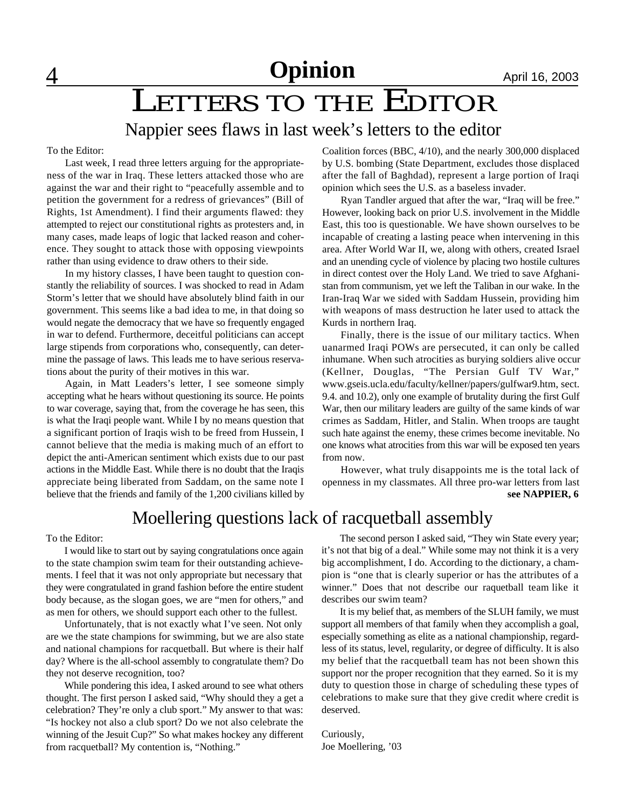# LETTERS TO THE EDITOR

# Nappier sees flaws in last week's letters to the editor

To the Editor:

Last week, I read three letters arguing for the appropriateness of the war in Iraq. These letters attacked those who are against the war and their right to "peacefully assemble and to petition the government for a redress of grievances" (Bill of Rights, 1st Amendment). I find their arguments flawed: they attempted to reject our constitutional rights as protesters and, in many cases, made leaps of logic that lacked reason and coherence. They sought to attack those with opposing viewpoints rather than using evidence to draw others to their side.

In my history classes, I have been taught to question constantly the reliability of sources. I was shocked to read in Adam Storm's letter that we should have absolutely blind faith in our government. This seems like a bad idea to me, in that doing so would negate the democracy that we have so frequently engaged in war to defend. Furthermore, deceitful politicians can accept large stipends from corporations who, consequently, can determine the passage of laws. This leads me to have serious reservations about the purity of their motives in this war.

Again, in Matt Leaders's letter, I see someone simply accepting what he hears without questioning its source. He points to war coverage, saying that, from the coverage he has seen, this is what the Iraqi people want. While I by no means question that a significant portion of Iraqis wish to be freed from Hussein, I cannot believe that the media is making much of an effort to depict the anti-American sentiment which exists due to our past actions in the Middle East. While there is no doubt that the Iraqis appreciate being liberated from Saddam, on the same note I believe that the friends and family of the 1,200 civilians killed by Coalition forces (BBC, 4/10), and the nearly 300,000 displaced by U.S. bombing (State Department, excludes those displaced after the fall of Baghdad), represent a large portion of Iraqi opinion which sees the U.S. as a baseless invader.

Ryan Tandler argued that after the war, "Iraq will be free." However, looking back on prior U.S. involvement in the Middle East, this too is questionable. We have shown ourselves to be incapable of creating a lasting peace when intervening in this area. After World War II, we, along with others, created Israel and an unending cycle of violence by placing two hostile cultures in direct contest over the Holy Land. We tried to save Afghanistan from communism, yet we left the Taliban in our wake. In the Iran-Iraq War we sided with Saddam Hussein, providing him with weapons of mass destruction he later used to attack the Kurds in northern Iraq.

Finally, there is the issue of our military tactics. When uanarmed Iraqi POWs are persecuted, it can only be called inhumane. When such atrocities as burying soldiers alive occur (Kellner, Douglas, "The Persian Gulf TV War," www.gseis.ucla.edu/faculty/kellner/papers/gulfwar9.htm, sect. 9.4. and 10.2), only one example of brutality during the first Gulf War, then our military leaders are guilty of the same kinds of war crimes as Saddam, Hitler, and Stalin. When troops are taught such hate against the enemy, these crimes become inevitable. No one knows what atrocities from this war will be exposed ten years from now.

However, what truly disappoints me is the total lack of openness in my classmates. All three pro-war letters from last **see NAPPIER, 6**

### Moellering questions lack of racquetball assembly

To the Editor:

I would like to start out by saying congratulations once again to the state champion swim team for their outstanding achievements. I feel that it was not only appropriate but necessary that they were congratulated in grand fashion before the entire student body because, as the slogan goes, we are "men for others," and as men for others, we should support each other to the fullest.

Unfortunately, that is not exactly what I've seen. Not only are we the state champions for swimming, but we are also state and national champions for racquetball. But where is their half day? Where is the all-school assembly to congratulate them? Do they not deserve recognition, too?

While pondering this idea, I asked around to see what others thought. The first person I asked said, "Why should they a get a celebration? They're only a club sport." My answer to that was: "Is hockey not also a club sport? Do we not also celebrate the winning of the Jesuit Cup?" So what makes hockey any different from racquetball? My contention is, "Nothing."

The second person I asked said, "They win State every year; it's not that big of a deal." While some may not think it is a very big accomplishment, I do. According to the dictionary, a champion is "one that is clearly superior or has the attributes of a winner." Does that not describe our raquetball team like it describes our swim team?

It is my belief that, as members of the SLUH family, we must support all members of that family when they accomplish a goal, especially something as elite as a national championship, regardless of its status, level, regularity, or degree of difficulty. It is also my belief that the racquetball team has not been shown this support nor the proper recognition that they earned. So it is my duty to question those in charge of scheduling these types of celebrations to make sure that they give credit where credit is deserved.

Curiously, Joe Moellering, '03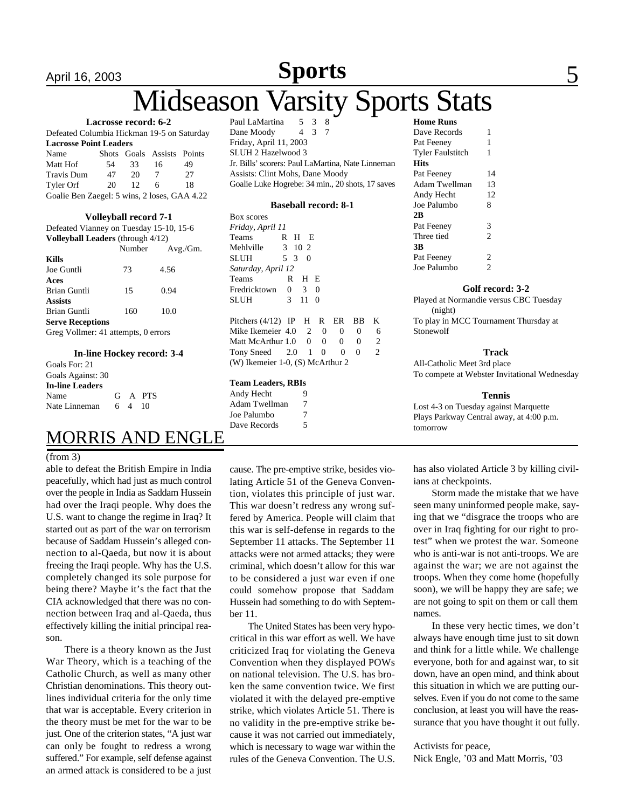# April 16, 2003 **Sports** 5

# **Iidseason Varsity Sports Stats**

#### **Lacrosse record: 6-2**

| Defeated Columbia Hickman 19-5 on Saturday   |     |                   |                            |    |  |  |
|----------------------------------------------|-----|-------------------|----------------------------|----|--|--|
| <b>Lacrosse Point Leaders</b>                |     |                   |                            |    |  |  |
| Name                                         |     |                   | Shots Goals Assists Points |    |  |  |
| Matt Hof                                     | 54. | 33                | 16                         | 49 |  |  |
| Travis Dum                                   | 47  | 20                | 7                          | 27 |  |  |
| Tyler Orf                                    | 20  | $12 \overline{)}$ | 6                          | 18 |  |  |
| Goalie Ben Zaegel: 5 wins, 2 loses, GAA 4.22 |     |                   |                            |    |  |  |

#### **Volleyball record 7-1**

| Defeated Vianney on Tuesday 15-10, 15-6  |     |                 |  |  |  |
|------------------------------------------|-----|-----------------|--|--|--|
| <b>Volleyball Leaders</b> (through 4/12) |     |                 |  |  |  |
|                                          |     | Number Avg./Gm. |  |  |  |
| Kills                                    |     |                 |  |  |  |
| Joe Guntli                               | 73  | 4.56            |  |  |  |
| Aces                                     |     |                 |  |  |  |
| Brian Guntli                             | 15  | 0.94            |  |  |  |
| Assists                                  |     |                 |  |  |  |
| Brian Guntli                             | 160 | 10.0            |  |  |  |
| <b>Serve Receptions</b>                  |     |                 |  |  |  |
| Greg Vollmer: 41 attempts, 0 errors      |     |                 |  |  |  |
|                                          |     |                 |  |  |  |

#### **In-line Hockey record: 3-4**

| Goals For: 21          |        |         |
|------------------------|--------|---------|
| Goals Against: 30      |        |         |
| <b>In-line Leaders</b> |        |         |
| Name                   |        | G A PTS |
| Nate Linneman          | 6 4 10 |         |

### MORRIS AND ENGLE

#### (from 3)

able to defeat the British Empire in India peacefully, which had just as much control over the people in India as Saddam Hussein had over the Iraqi people. Why does the U.S. want to change the regime in Iraq? It started out as part of the war on terrorism because of Saddam Hussein's alleged connection to al-Qaeda, but now it is about freeing the Iraqi people. Why has the U.S. completely changed its sole purpose for being there? Maybe it's the fact that the CIA acknowledged that there was no connection between Iraq and al-Qaeda, thus effectively killing the initial principal reason.

There is a theory known as the Just War Theory, which is a teaching of the Catholic Church, as well as many other Christian denominations. This theory outlines individual criteria for the only time that war is acceptable. Every criterion in the theory must be met for the war to be just. One of the criterion states, "A just war can only be fought to redress a wrong suffered." For example, self defense against an armed attack is considered to be a just

Paul LaMartina Dane Moody 4 3 Friday, April 11, 2003 SLUH 2 Hazelwood 3 Jr. Bills' scorers: Paul LaMartina, Nate Linneman Assists: Clint Mohs, Dane Moody Goalie Luke Hogrebe: 34 min., 20 shots, 17 saves

#### **Baseball record: 8-1**

Box scores *Friday, April 11* Teams R H E Mehlville 3 10 2 SLUH 5 3 0 *Saturday, April 12* Teams R H E Fredricktown 0 3 0 SLUH 3 11 0 Pitchers (4/12) IP H R ER BB K Mike Ikemeier 4.0 2 0 0 0 6 Matt McArthur 1.0 0 0 0 2 Tony Sneed 2.0 1 0 0 0 2 (W) Ikemeier 1-0, (S) McArthur 2

#### **Team Leaders, RBIs**

| Andy Hecht    | 9 |
|---------------|---|
| Adam Twellman | 7 |
| Joe Palumbo   | 7 |
| Dave Records  | 5 |
|               |   |

cause. The pre-emptive strike, besides violating Article 51 of the Geneva Convention, violates this principle of just war. This war doesn't redress any wrong suffered by America. People will claim that this war is self-defense in regards to the September 11 attacks. The September 11 attacks were not armed attacks; they were criminal, which doesn't allow for this war to be considered a just war even if one could somehow propose that Saddam Hussein had something to do with September 11.

The United States has been very hypocritical in this war effort as well. We have criticized Iraq for violating the Geneva Convention when they displayed POWs on national television. The U.S. has broken the same convention twice. We first violated it with the delayed pre-emptive strike, which violates Article 51. There is no validity in the pre-emptive strike because it was not carried out immediately, which is necessary to wage war within the rules of the Geneva Convention. The U.S.

| <b>Home Runs</b> |                |
|------------------|----------------|
| Dave Records     | 1              |
| Pat Feeney       | 1              |
| Tyler Faulstitch | 1              |
| Hits             |                |
| Pat Feeney       | 14             |
| Adam Twellman    | 13             |
| Andy Hecht       | 12             |
| Joe Palumbo      | 8              |
| 2Β               |                |
| Pat Feeney       | 3              |
| Three tied       | $\overline{c}$ |
| 3В               |                |
| Pat Feeney       | $\overline{2}$ |
| Joe Palumbo      | $\overline{c}$ |

#### **Golf record: 3-2**

Played at Normandie versus CBC Tuesday (night) To play in MCC Tournament Thursday at Stonewolf

#### **Track**

All-Catholic Meet 3rd place To compete at Webster Invitational Wednesday

#### **Tennis**

Lost 4-3 on Tuesday against Marquette Plays Parkway Central away, at 4:00 p.m. tomorrow

has also violated Article 3 by killing civilians at checkpoints.

Storm made the mistake that we have seen many uninformed people make, saying that we "disgrace the troops who are over in Iraq fighting for our right to protest" when we protest the war. Someone who is anti-war is not anti-troops. We are against the war; we are not against the troops. When they come home (hopefully soon), we will be happy they are safe; we are not going to spit on them or call them names.

 In these very hectic times, we don't always have enough time just to sit down and think for a little while. We challenge everyone, both for and against war, to sit down, have an open mind, and think about this situation in which we are putting ourselves. Even if you do not come to the same conclusion, at least you will have the reassurance that you have thought it out fully.

#### Activists for peace,

Nick Engle, '03 and Matt Morris, '03